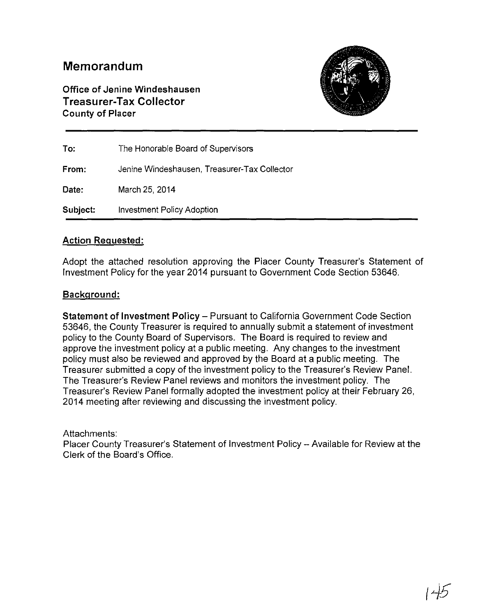## **Memorandum**

**Office of Jenine Windeshausen Treasurer-Tax Collector County of Placer** 



| To:      | The Honorable Board of Supervisors           |
|----------|----------------------------------------------|
| From:    | Jenine Windeshausen, Treasurer-Tax Collector |
| Date:    | March 25, 2014                               |
| Subject: | <b>Investment Policy Adoption</b>            |

### **Action Requested:**

Adopt the attached resolution approving the Placer County Treasurer's Statement of Investment Policy for the year 2014 pursuant to Government Code Section 53646.

#### **Background:**

**Statement of Investment Policy-** Pursuant to California Government Code Section 53646, the County Treasurer is required to annually submit a statement of investment policy to the County Board of Supervisors. The Board is required to review and approve the investment policy at a public meeting. Any changes to the investment policy must also be reviewed and approved by the Board at a public meeting. The Treasurer submitted a copy of the investment policy to the Treasurer's Review Panel. The Treasurer's Review Panel reviews and monitors the investment policy. The Treasurer's Review Panel formally adopted the investment policy at their February 26, 2014 meeting after reviewing and discussing the investment policy.

Attachments:

Placer County Treasurer's Statement of Investment Policy- Available for Review at the Clerk of the Board's Office.